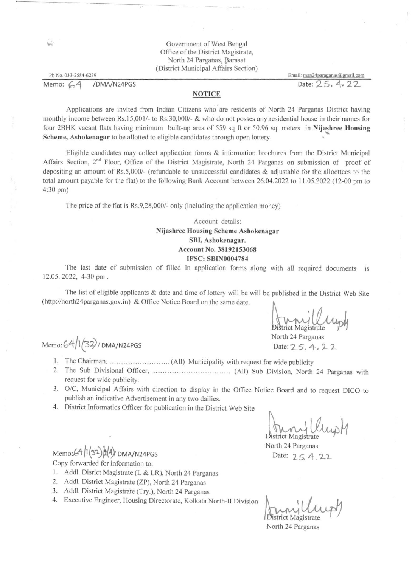|                           | Government of West Bengal<br>Office of the District Magistrate,<br>North 24 Parganas, Barasat<br>(District Municipal Affairs Section) |                                    |
|---------------------------|---------------------------------------------------------------------------------------------------------------------------------------|------------------------------------|
| Ph No. 033-2584-6239      |                                                                                                                                       | Email: $man24$ paraganas@gmail.com |
| Memo: $64$<br>/DMA/N24PGS |                                                                                                                                       | Date: 25, 4, 22                    |
|                           | <b>NOTICE</b>                                                                                                                         |                                    |

'

Applications are invited from Indian Citizens who are residents of North 24 Parganas District having monthly income between Rs.15,001/- to Rs.30,000/- & who do not posses any residential house in their names for four 2BHK vacant flats having minimum built-up area of 559 sq ft or 50.96 sq. meters in Nijashree Housing Scheme, Ashokenagar to be allotted to eligible candidates through open lottery.

Eligible candidates may collect application forms & information brochures from the District Municipal Affairs Section, 2<sup>nd</sup> Floor, Office of the District Magistrate, North 24 Parganas on submission of proof of depositing an amount of Rs.5,000/- (refundable to unsuccessful candidates & adjustable for the alloottees to the total amount payable for the flat) to the following Bank Account between 26.04.2022 to 11.05.2022 (12-00 pm to 4:30 pm)

strict Magistrate North 24 Parganas

Date:  $2-5, 4, 2.2$ 

- $Memo: 64/1(32) / DMA/N24PGS$ 
	- l. The Chairman, .......................... (All) Municipality with request for wide publicity
	- 2. The Sub Divisional Officer, ...... ............ .... ........... (All) Sub Division, North 24 Parganas with request for wide publicity.
	- 3. 0/C, Municipal Affairs with direction to display in the Office Notice Board and to request DICO to publish an indicative Advertisement in any two dailies.
	- 4. District Informatics Officer for publication in the District Web Site

 $Memo:64/(32)$  $(4)$  DMA/N24PGS Copy forwarded for information to:

The price of the flat is Rs.9,28,000/- only (including the application money)

## Account details: Nijashree Housing Scheme Ashokenagar SBI, Ashokenagar. Account No. 38192153068 IFSC: SBIN0004784

District Magistrate North 24 Parganas Date: 25. A. 22

The last date of submission of filled in application forms along with all required documents 12.05. 2022, 4-30 pm . . IS

The list of eligible applicants & date and time of lottery wil1 be will be published in the District Web Site (http://north24parganas.gov.in) & Office Notice Board on the same date.

 $\mathcal{A}$ 

•

- l. Addl. Disrict Magistrate (L & LR), North 24 Parganas
- 2. Addl. District Magistrate (ZP), North 24 Parganas
- 3. Addl. District Magistrate (Try.), North 24 Parganas
- 4. Executive Engineer, Housing Directorate, Kolkata North-II Division

'l istrict Magistrate

North 24 Parganas